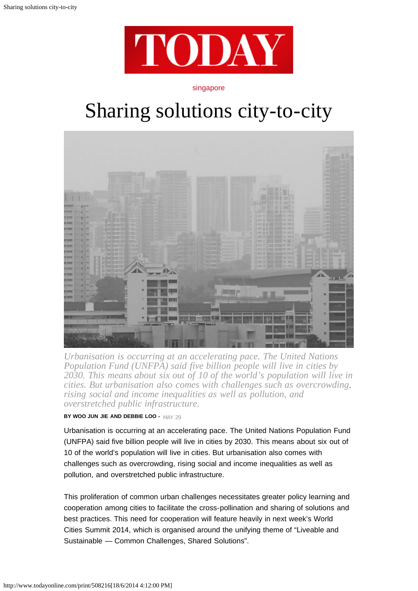

## singapore

## Sharing solutions city-to-city



*Urbanisation is occurring at an accelerating pace. The United Nations Population Fund (UNFPA) said five billion people will live in cities by 2030. This means about six out of 10 of the world's population will live in cities. But urbanisation also comes with challenges such as overcrowding, rising social and income inequalities as well as pollution, and overstretched public infrastructure.*

**BY WOO JUN JIE AND DEBBIE LOO -** MAY 29

Urbanisation is occurring at an accelerating pace. The United Nations Population Fund (UNFPA) said five billion people will live in cities by 2030. This means about six out of 10 of the world's population will live in cities. But urbanisation also comes with challenges such as overcrowding, rising social and income inequalities as well as pollution, and overstretched public infrastructure.

This proliferation of common urban challenges necessitates greater policy learning and cooperation among cities to facilitate the cross-pollination and sharing of solutions and best practices. This need for cooperation will feature heavily in next week's World Cities Summit 2014, which is organised around the unifying theme of "Liveable and Sustainable — Common Challenges, Shared Solutions".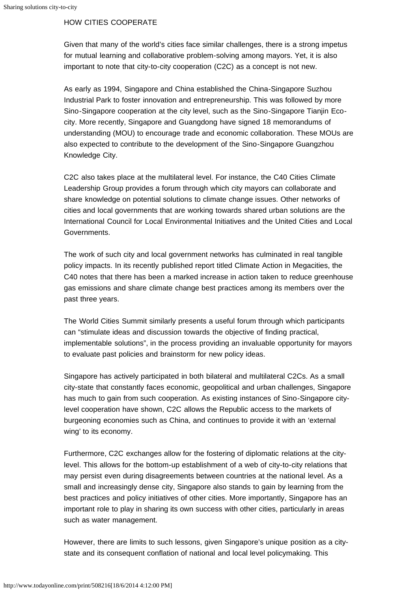## HOW CITIES COOPERATE

Given that many of the world's cities face similar challenges, there is a strong impetus for mutual learning and collaborative problem-solving among mayors. Yet, it is also important to note that city-to-city cooperation (C2C) as a concept is not new.

As early as 1994, Singapore and China established the China-Singapore Suzhou Industrial Park to foster innovation and entrepreneurship. This was followed by more Sino-Singapore cooperation at the city level, such as the Sino-Singapore Tianjin Ecocity. More recently, Singapore and Guangdong have signed 18 memorandums of understanding (MOU) to encourage trade and economic collaboration. These MOUs are also expected to contribute to the development of the Sino-Singapore Guangzhou Knowledge City.

C2C also takes place at the multilateral level. For instance, the C40 Cities Climate Leadership Group provides a forum through which city mayors can collaborate and share knowledge on potential solutions to climate change issues. Other networks of cities and local governments that are working towards shared urban solutions are the International Council for Local Environmental Initiatives and the United Cities and Local Governments.

The work of such city and local government networks has culminated in real tangible policy impacts. In its recently published report titled Climate Action in Megacities, the C40 notes that there has been a marked increase in action taken to reduce greenhouse gas emissions and share climate change best practices among its members over the past three years.

The World Cities Summit similarly presents a useful forum through which participants can "stimulate ideas and discussion towards the objective of finding practical, implementable solutions", in the process providing an invaluable opportunity for mayors to evaluate past policies and brainstorm for new policy ideas.

Singapore has actively participated in both bilateral and multilateral C2Cs. As a small city-state that constantly faces economic, geopolitical and urban challenges, Singapore has much to gain from such cooperation. As existing instances of Sino-Singapore citylevel cooperation have shown, C2C allows the Republic access to the markets of burgeoning economies such as China, and continues to provide it with an 'external wing' to its economy.

Furthermore, C2C exchanges allow for the fostering of diplomatic relations at the citylevel. This allows for the bottom-up establishment of a web of city-to-city relations that may persist even during disagreements between countries at the national level. As a small and increasingly dense city, Singapore also stands to gain by learning from the best practices and policy initiatives of other cities. More importantly, Singapore has an important role to play in sharing its own success with other cities, particularly in areas such as water management.

However, there are limits to such lessons, given Singapore's unique position as a citystate and its consequent conflation of national and local level policymaking. This